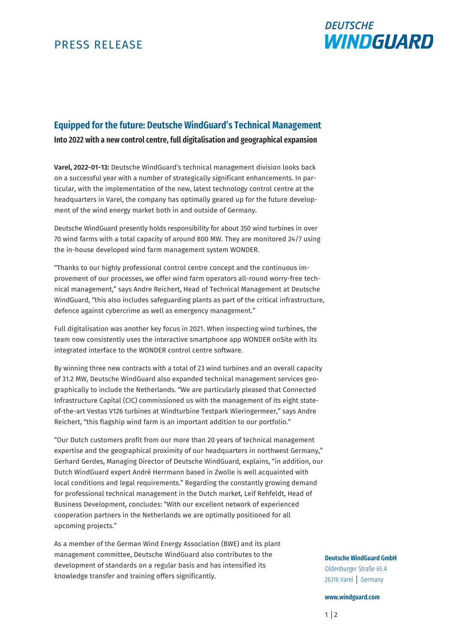# PRESS RELEASE



# **Equipped for the future: Deutsche WindGuard's Technical Management**

**Into 2022 with a new control centre, full digitalisation and geographical expansion**

**Varel, 2022-01-13:** Deutsche WindGuard's technical management division looks back on a successful year with a number of strategically significant enhancements. In particular, with the implementation of the new, latest technology control centre at the headquarters in Varel, the company has optimally geared up for the future development of the wind energy market both in and outside of Germany.

Deutsche WindGuard presently holds responsibility for about 350 wind turbines in over 70 wind farms with a total capacity of around 800 MW. They are monitored 24/7 using the in-house developed wind farm management system WONDER.

"Thanks to our highly professional control centre concept and the continuous improvement of our processes, we offer wind farm operators all-round worry-free technical management," says Andre Reichert, Head of Technical Management at Deutsche WindGuard, "this also includes safeguarding plants as part of the critical infrastructure, defence against cybercrime as well as emergency management."

Full digitalisation was another key focus in 2021. When inspecting wind turbines, the team now consistently uses the interactive smartphone app WONDER onSite with its integrated interface to the WONDER control centre software.

By winning three new contracts with a total of 23 wind turbines and an overall capacity of 31.2 MW, Deutsche WindGuard also expanded technical management services geographically to include the Netherlands. "We are particularly pleased that Connected Infrastructure Capital (CIC) commissioned us with the management of its eight stateof-the-art Vestas V126 turbines at Windturbine Testpark Wieringermeer," says Andre Reichert, "this flagship wind farm is an important addition to our portfolio."

"Our Dutch customers profit from our more than 20 years of technical management expertise and the geographical proximity of our headquarters in northwest Germany," Gerhard Gerdes, Managing Director of Deutsche WindGuard, explains, "in addition, our Dutch WindGuard expert André Herrmann based in Zwolle is well acquainted with local conditions and legal requirements." Regarding the constantly growing demand for professional technical management in the Dutch market, Leif Rehfeldt, Head of Business Development, concludes: "With our excellent network of experienced cooperation partners in the Netherlands we are optimally positioned for all upcoming projects."

As a member of the German Wind Energy Association (BWE) and its plant management committee, Deutsche WindGuard also contributes to the development of standards on a regular basis and has intensified its knowledge transfer and training offers significantly.

### **Deutsche WindGuard GmbH**

Oldenburger Straße 65 A 26316 Varel │ Germany

### **www.windguard.com**